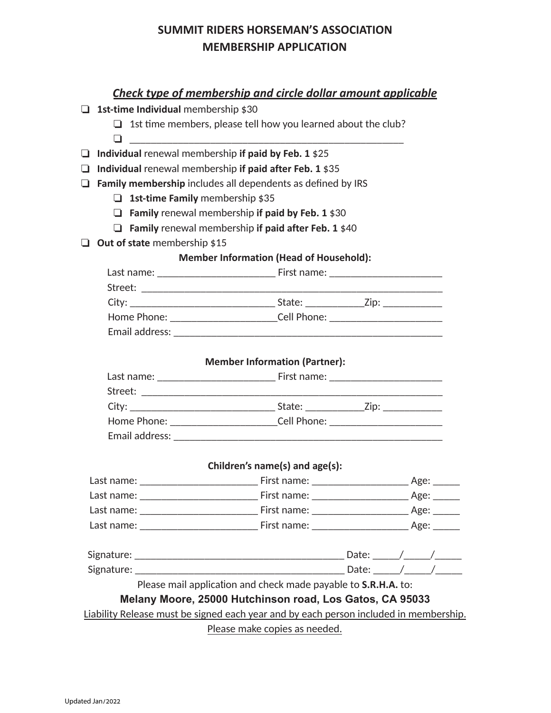# **SUMMIT RIDERS HORSEMAN'S ASSOCIATION MEMBERSHIP APPLICATION**

## *Check type of membership and circle dollar amount applicable*

- ❏ **1st-time Individual** membership \$30
	- $\Box$  1st time members, please tell how you learned about the club?
	- ❏ \_\_\_\_\_\_\_\_\_\_\_\_\_\_\_\_\_\_\_\_\_\_\_\_\_\_\_\_\_\_\_\_\_\_\_\_\_\_\_\_\_\_\_\_\_\_\_\_\_\_\_
- ❏ **Individual** renewal membership **if paid by Feb. 1** \$25
- ❏ **Individual** renewal membership **if paid after Feb. 1** \$35
- ❏ **Family membership** includes all dependents as defined by IRS
	- ❏ **1st-time Family** membership \$35
	- ❏ **Family** renewal membership **if paid by Feb. 1** \$30
	- ❏ **Family** renewal membership **if paid after Feb. 1** \$40
- ❏ **Out of state** membership \$15

### **Member Information (Head of Household):**

| Last name:                                                                                                                                                                                                                     | First name: The control of the control of the control of the control of the control of the control of the control of the control of the control of the control of the control of the control of the control of the control of |  |
|--------------------------------------------------------------------------------------------------------------------------------------------------------------------------------------------------------------------------------|-------------------------------------------------------------------------------------------------------------------------------------------------------------------------------------------------------------------------------|--|
| Street:                                                                                                                                                                                                                        |                                                                                                                                                                                                                               |  |
| City: the contract of the contract of the contract of the contract of the contract of the contract of the contract of the contract of the contract of the contract of the contract of the contract of the contract of the cont | State: www.<br>Zip: $\_$                                                                                                                                                                                                      |  |
| Home Phone:                                                                                                                                                                                                                    | Cell Phone:                                                                                                                                                                                                                   |  |
| Email address:                                                                                                                                                                                                                 |                                                                                                                                                                                                                               |  |

#### **Member Information (Partner):**

| Last name:                                                                 | First name:    |  |
|----------------------------------------------------------------------------|----------------|--|
| Street:                                                                    |                |  |
| City:<br><u> 1980 - Jan Barbara Barbara, manazarta da kasar Indonesia.</u> | State:<br>Zip: |  |
| Home Phone:                                                                | Cell Phone:    |  |
| Email address:                                                             |                |  |

### **Children's name(s) and age(s):**

| Last name: | First name: | Age: |
|------------|-------------|------|
| Last name: | First name: | Age: |
| Last name: | First name: | Age: |
| Last name: | First name: | Age: |

| $\sim$<br>J.<br>. .          | ___________<br>_______ |  |  |
|------------------------------|------------------------|--|--|
| $\sim$<br>סי ~<br>$\tilde{}$ |                        |  |  |

Please mail application and check made payable to **S.R.H.A.** to:

## **Melany Moore, 25000 Hutchinson road, Los Gatos, CA 95033**

Liability Release must be signed each year and by each person included in membership.

Please make copies as needed.